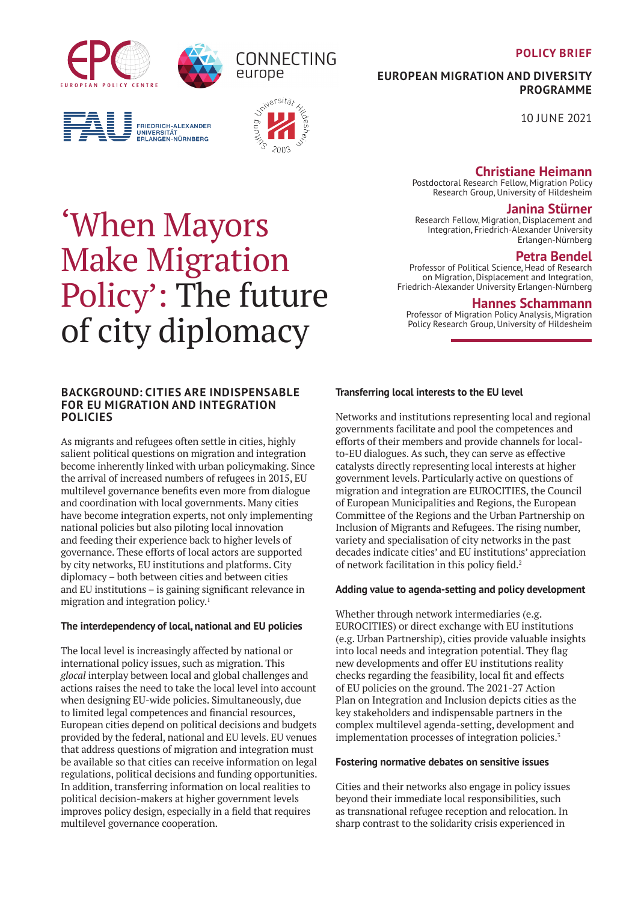## **POLICY BRIEF**

<span id="page-0-0"></span>





europe

CONNECTING



**EUROPEAN MIGRATION AND DIVERSITY PROGRAMME**

10 JUNE 2021

# **Christiane Heimann**

Postdoctoral Research Fellow, Migration Policy Research Group, University of Hildesheim

## **Janina Stürner**

Research Fellow, Migration, Displacement and Integration, Friedrich-Alexander University Erlangen-Nürnberg

# **Petra Bendel**

Professor of Political Science, Head of Research on Migration, Displacement and Integration, Friedrich-Alexander University Erlangen-Nürnberg

## **Hannes Schammann**

Professor of Migration Policy Analysis, Migration Policy Research Group, University of Hildesheim

# 'When Mayors Make Migration Policy': The future of city diplomacy

## **BACKGROUND: CITIES ARE INDISPENSABLE FOR EU MIGRATION AND INTEGRATION POLICIES**

As migrants and refugees often settle in cities, highly salient political questions on migration and integration become inherently linked with urban policymaking. Since the arrival of increased numbers of refugees in 2015, EU multilevel governance benefits even more from dialogue and coordination with local governments. Many cities have become integration experts, not only implementing national policies but also piloting local innovation and feeding their experience back to higher levels of governance. These efforts of local actors are supported by city networks, EU institutions and platforms. City diplomacy – both between cities and between cities and EU institutions – is gaining significant relevance in migration and integration policy[.1](#page-3-0)

## **The interdependency of local, national and EU policies**

The local level is increasingly affected by national or international policy issues, such as migration. This *glocal* interplay between local and global challenges and actions raises the need to take the local level into account when designing EU-wide policies. Simultaneously, due to limited legal competences and financial resources, European cities depend on political decisions and budgets provided by the federal, national and EU levels. EU venues that address questions of migration and integration must be available so that cities can receive information on legal regulations, political decisions and funding opportunities. In addition, transferring information on local realities to political decision-makers at higher government levels improves policy design, especially in a field that requires multilevel governance cooperation.

# **Transferring local interests to the EU level**

Networks and institutions representing local and regional governments facilitate and pool the competences and efforts of their members and provide channels for localto-EU dialogues. As such, they can serve as effective catalysts directly representing local interests at higher government levels. Particularly active on questions of migration and integration are EUROCITIES, the Council of European Municipalities and Regions, the European Committee of the Regions and the Urban Partnership on Inclusion of Migrants and Refugees. The rising number, variety and specialisation of city networks in the past decades indicate cities' and EU institutions' appreciation of network facilitation in this policy field.<sup>[2](#page-3-0)</sup>

## **Adding value to agenda-setting and policy development**

Whether through network intermediaries (e.g. EUROCITIES) or direct exchange with EU institutions (e.g. Urban Partnership), cities provide valuable insights into local needs and integration potential. They flag new developments and offer EU institutions reality checks regarding the feasibility, local fit and effects of EU policies on the ground. The 2021-27 Action Plan on Integration and Inclusion depicts cities as the key stakeholders and indispensable partners in the complex multilevel agenda-setting, development and implementation processes of integration policies.<sup>3</sup>

## **Fostering normative debates on sensitive issues**

Cities and their networks also engage in policy issues beyond their immediate local responsibilities, such as transnational refugee reception and relocation. In sharp contrast to the solidarity crisis experienced in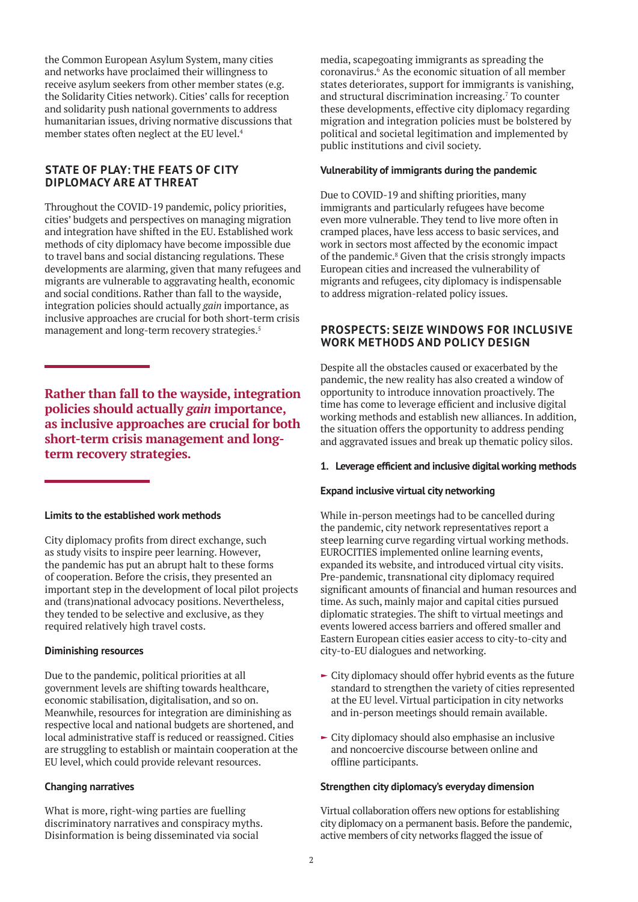<span id="page-1-0"></span>the Common European Asylum System, many cities and networks have proclaimed their willingness to receive asylum seekers from other member states (e.g. the Solidarity Cities network). Cities' calls for reception and solidarity push national governments to address humanitarian issues, driving normative discussions that member states often neglect at the EU level.[4](#page-3-0)

## **STATE OF PLAY: THE FEATS OF CITY DIPLOMACY ARE AT THREAT**

Throughout the COVID-19 pandemic, policy priorities, cities' budgets and perspectives on managing migration and integration have shifted in the EU. Established work methods of city diplomacy have become impossible due to travel bans and social distancing regulations. These developments are alarming, given that many refugees and migrants are vulnerable to aggravating health, economic and social conditions. Rather than fall to the wayside, integration policies should actually *gain* importance, as inclusive approaches are crucial for both short-term crisis management and long-term recovery strategies.<sup>[5](#page-3-0)</sup>

**Rather than fall to the wayside, integration policies should actually** *gain* **importance, as inclusive approaches are crucial for both short-term crisis management and longterm recovery strategies.**

## **Limits to the established work methods**

City diplomacy profits from direct exchange, such as study visits to inspire peer learning. However, the pandemic has put an abrupt halt to these forms of cooperation. Before the crisis, they presented an important step in the development of local pilot projects and (trans)national advocacy positions. Nevertheless, they tended to be selective and exclusive, as they required relatively high travel costs.

## **Diminishing resources**

Due to the pandemic, political priorities at all government levels are shifting towards healthcare, economic stabilisation, digitalisation, and so on. Meanwhile, resources for integration are diminishing as respective local and national budgets are shortened, and local administrative staff is reduced or reassigned. Cities are struggling to establish or maintain cooperation at the EU level, which could provide relevant resources.

## **Changing narratives**

What is more, right-wing parties are fuelling discriminatory narratives and conspiracy myths. Disinformation is being disseminated via social

media, scapegoating immigrants as spreading the coronavirus.[6](#page-3-0) As the economic situation of all member states deteriorates, support for immigrants is vanishing, and structural discrimination increasing.<sup>[7](#page-3-0)</sup> To counter these developments, effective city diplomacy regarding migration and integration policies must be bolstered by political and societal legitimation and implemented by public institutions and civil society.

## **Vulnerability of immigrants during the pandemic**

Due to COVID-19 and shifting priorities, many immigrants and particularly refugees have become even more vulnerable. They tend to live more often in cramped places, have less access to basic services, and work in sectors most affected by the economic impact of the pandemic.<sup>[8](#page-3-0)</sup> Given that the crisis strongly impacts European cities and increased the vulnerability of migrants and refugees, city diplomacy is indispensable to address migration-related policy issues.

# **PROSPECTS: SEIZE WINDOWS FOR INCLUSIVE WORK METHODS AND POLICY DESIGN**

Despite all the obstacles caused or exacerbated by the pandemic, the new reality has also created a window of opportunity to introduce innovation proactively. The time has come to leverage efficient and inclusive digital working methods and establish new alliances. In addition, the situation offers the opportunity to address pending and aggravated issues and break up thematic policy silos.

#### **1. Leverage efficient and inclusive digital working methods**

## **Expand inclusive virtual city networking**

While in-person meetings had to be cancelled during the pandemic, city network representatives report a steep learning curve regarding virtual working methods. EUROCITIES implemented online learning events, expanded its website, and introduced virtual city visits. Pre-pandemic, transnational city diplomacy required significant amounts of financial and human resources and time. As such, mainly major and capital cities pursued diplomatic strategies. The shift to virtual meetings and events lowered access barriers and offered smaller and Eastern European cities easier access to city-to-city and city-to-EU dialogues and networking.

- $\blacktriangleright$  City diplomacy should offer hybrid events as the future standard to strengthen the variety of cities represented at the EU level. Virtual participation in city networks and in-person meetings should remain available.
- $\blacktriangleright$  City diplomacy should also emphasise an inclusive and noncoercive discourse between online and offline participants.

## **Strengthen city diplomacy's everyday dimension**

Virtual collaboration offers new options for establishing city diplomacy on a permanent basis. Before the pandemic, active members of city networks flagged the issue of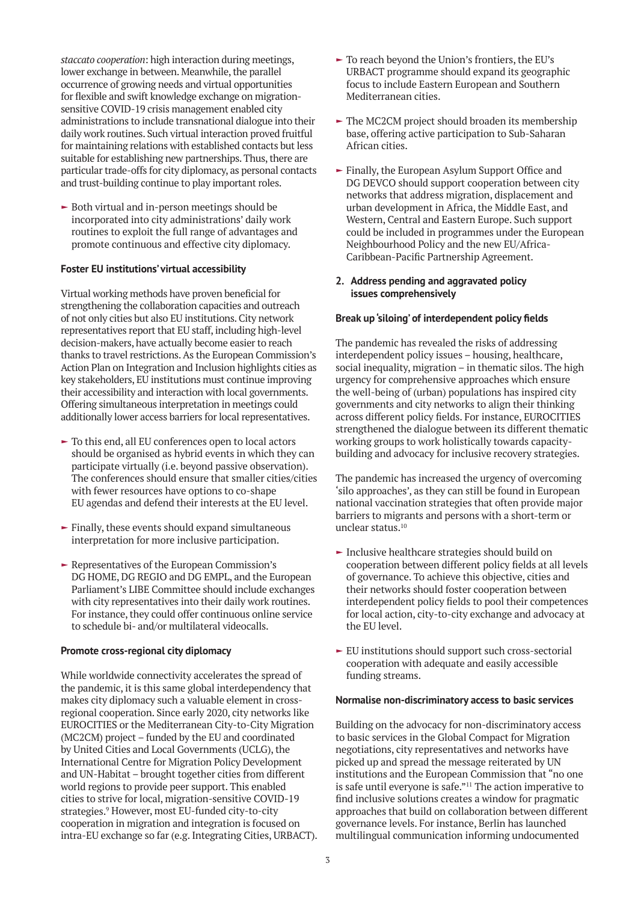<span id="page-2-0"></span>*staccato cooperation*: high interaction during meetings, lower exchange in between. Meanwhile, the parallel occurrence of growing needs and virtual opportunities for flexible and swift knowledge exchange on migrationsensitive COVID-19 crisis management enabled city administrations to include transnational dialogue into their daily work routines. Such virtual interaction proved fruitful for maintaining relations with established contacts but less suitable for establishing new partnerships. Thus, there are particular trade-offs for city diplomacy, as personal contacts and trust-building continue to play important roles.

 $\blacktriangleright$  Both virtual and in-person meetings should be incorporated into city administrations' daily work routines to exploit the full range of advantages and promote continuous and effective city diplomacy.

## **Foster EU institutions' virtual accessibility**

Virtual working methods have proven beneficial for strengthening the collaboration capacities and outreach of not only cities but also EU institutions. City network representatives report that EU staff, including high-level decision-makers, have actually become easier to reach thanks to travel restrictions. As the European Commission's Action Plan on Integration and Inclusion highlights cities as key stakeholders, EU institutions must continue improving their accessibility and interaction with local governments. Offering simultaneous interpretation in meetings could additionally lower access barriers for local representatives.

- $\blacktriangleright$  To this end, all EU conferences open to local actors should be organised as hybrid events in which they can participate virtually (i.e. beyond passive observation). The conferences should ensure that smaller cities/cities with fewer resources have options to co-shape EU agendas and defend their interests at the EU level.
- $\blacktriangleright$  Finally, these events should expand simultaneous interpretation for more inclusive participation.
- $\blacktriangleright$  Representatives of the European Commission's DG HOME, DG REGIO and DG EMPL, and the European Parliament's LIBE Committee should include exchanges with city representatives into their daily work routines. For instance, they could offer continuous online service to schedule bi- and/or multilateral videocalls.

#### **Promote cross-regional city diplomacy**

While worldwide connectivity accelerates the spread of the pandemic, it is this same global interdependency that makes city diplomacy such a valuable element in crossregional cooperation. Since early 2020, city networks like EUROCITIES or the Mediterranean City-to-City Migration (MC2CM) project – funded by the EU and coordinated by United Cities and Local Governments (UCLG), the International Centre for Migration Policy Development and UN-Habitat – brought together cities from different world regions to provide peer support. This enabled cities to strive for local, migration-sensitive COVID-19 strategies[.9](#page-3-0) However, most EU-funded city-to-city cooperation in migration and integration is focused on intra-EU exchange so far (e.g. Integrating Cities, URBACT).

- $\blacktriangleright$  To reach beyond the Union's frontiers, the EU's URBACT programme should expand its geographic focus to include Eastern European and Southern Mediterranean cities.
- $\blacktriangleright$  The MC2CM project should broaden its membership base, offering active participation to Sub-Saharan African cities.
- $\blacktriangleright$  Finally, the European Asylum Support Office and DG DEVCO should support cooperation between city networks that address migration, displacement and urban development in Africa, the Middle East, and Western, Central and Eastern Europe. Such support could be included in programmes under the European Neighbourhood Policy and the new EU/Africa-Caribbean-Pacific Partnership Agreement.

#### **2. Address pending and aggravated policy issues comprehensively**

#### **Break up 'siloing' of interdependent policy fields**

The pandemic has revealed the risks of addressing interdependent policy issues – housing, healthcare, social inequality, migration – in thematic silos. The high urgency for comprehensive approaches which ensure the well-being of (urban) populations has inspired city governments and city networks to align their thinking across different policy fields. For instance, EUROCITIES strengthened the dialogue between its different thematic working groups to work holistically towards capacitybuilding and advocacy for inclusive recovery strategies.

The pandemic has increased the urgency of overcoming 'silo approaches', as they can still be found in European national vaccination strategies that often provide major barriers to migrants and persons with a short-term or unclear status.[10](#page-3-0)

- $\blacktriangleright$  Inclusive healthcare strategies should build on cooperation between different policy fields at all levels of governance. To achieve this objective, cities and their networks should foster cooperation between interdependent policy fields to pool their competences for local action, city-to-city exchange and advocacy at the EU level.
- $\blacktriangleright$  EU institutions should support such cross-sectorial cooperation with adequate and easily accessible funding streams.

#### **Normalise non-discriminatory access to basic services**

Building on the advocacy for non-discriminatory access to basic services in the Global Compact for Migration negotiations, city representatives and networks have picked up and spread the message reiterated by UN institutions and the European Commission that "no one is safe until everyone is safe."<sup>11</sup> The action imperative to find inclusive solutions creates a window for pragmatic approaches that build on collaboration between different governance levels. For instance, Berlin has launched multilingual communication informing undocumented